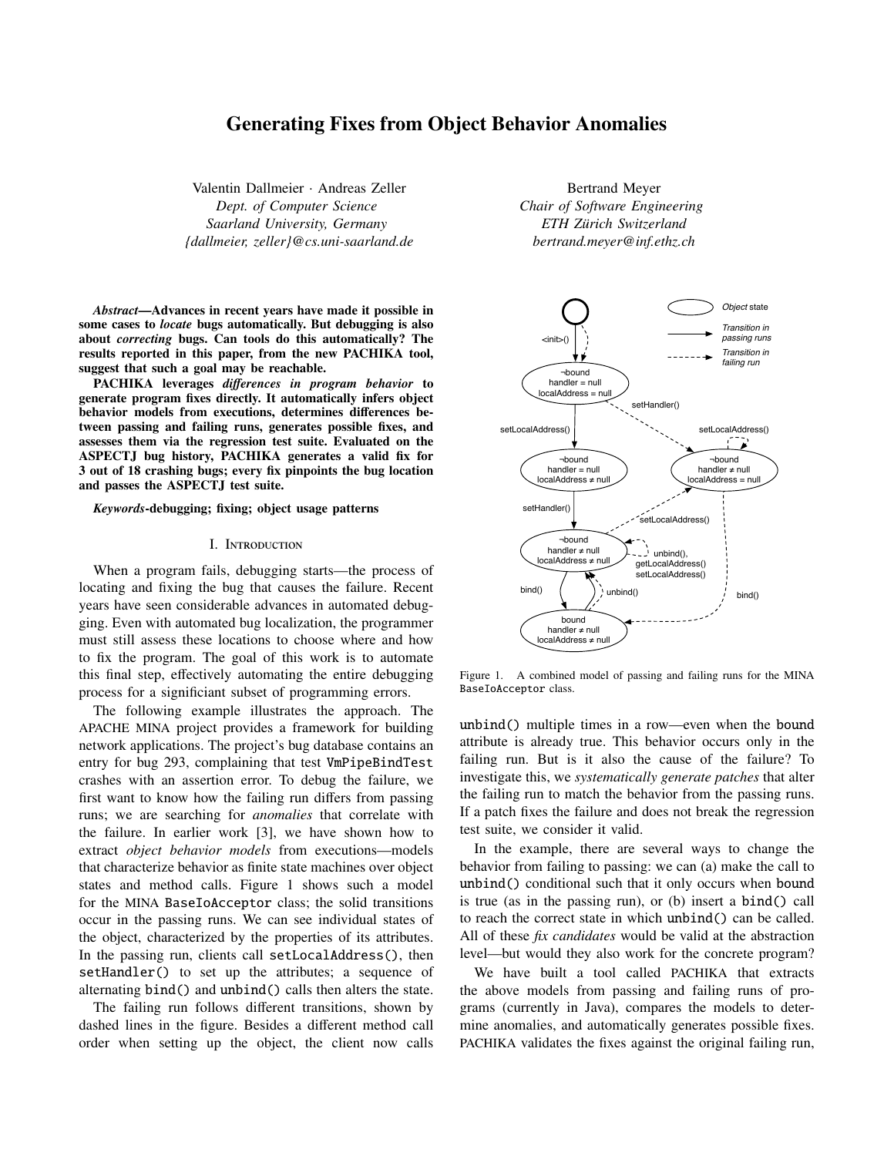# Generating Fixes from Object Behavior Anomalies

Valentin Dallmeier · Andreas Zeller *Dept. of Computer Science Saarland University, Germany {dallmeier, zeller}@cs.uni-saarland.de*

*Abstract*—Advances in recent years have made it possible in some cases to *locate* bugs automatically. But debugging is also about *correcting* bugs. Can tools do this automatically? The results reported in this paper, from the new PACHIKA tool, suggest that such a goal may be reachable.

PACHIKA leverages *di*ff*erences in program behavior* to generate program fixes directly. It automatically infers object behavior models from executions, determines differences between passing and failing runs, generates possible fixes, and assesses them via the regression test suite. Evaluated on the ASPECTJ bug history, PACHIKA generates a valid fix for 3 out of 18 crashing bugs; every fix pinpoints the bug location and passes the ASPECTJ test suite.

*Keywords*-debugging; fixing; object usage patterns

### I. INTRODUCTION

When a program fails, debugging starts—the process of locating and fixing the bug that causes the failure. Recent years have seen considerable advances in automated debugging. Even with automated bug localization, the programmer must still assess these locations to choose where and how to fix the program. The goal of this work is to automate this final step, effectively automating the entire debugging process for a significiant subset of programming errors.

The following example illustrates the approach. The APACHE MINA project provides a framework for building network applications. The project's bug database contains an entry for bug 293, complaining that test VmPipeBindTest crashes with an assertion error. To debug the failure, we first want to know how the failing run differs from passing runs; we are searching for *anomalies* that correlate with the failure. In earlier work [3], we have shown how to extract *object behavior models* from executions—models that characterize behavior as finite state machines over object states and method calls. Figure 1 shows such a model for the MINA BaseIoAcceptor class; the solid transitions occur in the passing runs. We can see individual states of the object, characterized by the properties of its attributes. In the passing run, clients call setLocalAddress(), then setHandler() to set up the attributes; a sequence of alternating bind() and unbind() calls then alters the state.

The failing run follows different transitions, shown by dashed lines in the figure. Besides a different method call order when setting up the object, the client now calls

Bertrand Meyer *Chair of Software Engineering ETH Zürich Switzerland bertrand.meyer@inf.ethz.ch*



Figure 1. A combined model of passing and failing runs for the MINA BaseIoAcceptor class.

unbind() multiple times in a row—even when the bound attribute is already true. This behavior occurs only in the failing run. But is it also the cause of the failure? To investigate this, we *systematically generate patches* that alter the failing run to match the behavior from the passing runs. If a patch fixes the failure and does not break the regression test suite, we consider it valid.

In the example, there are several ways to change the behavior from failing to passing: we can (a) make the call to unbind() conditional such that it only occurs when bound is true (as in the passing run), or (b) insert a bind() call to reach the correct state in which unbind() can be called. All of these *fix candidates* would be valid at the abstraction level—but would they also work for the concrete program?

We have built a tool called PACHIKA that extracts the above models from passing and failing runs of programs (currently in Java), compares the models to determine anomalies, and automatically generates possible fixes. PACHIKA validates the fixes against the original failing run,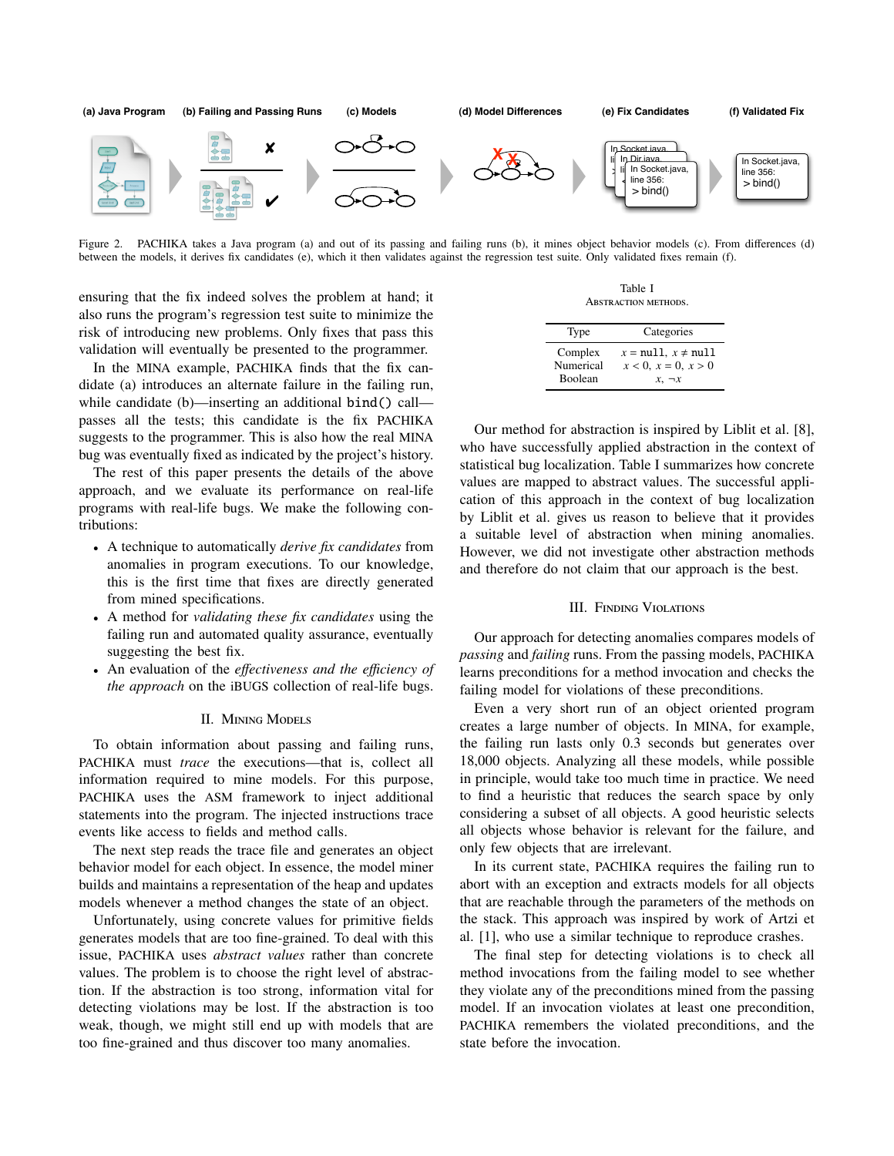

Figure 2. PACHIKA takes a Java program (a) and out of its passing and failing runs (b), it mines object behavior models (c). From differences (d) between the models, it derives fix candidates (e), which it then validates against the regression test suite. Only validated fixes remain (f).

ensuring that the fix indeed solves the problem at hand; it also runs the program's regression test suite to minimize the risk of introducing new problems. Only fixes that pass this validation will eventually be presented to the programmer.

In the MINA example, PACHIKA finds that the fix candidate (a) introduces an alternate failure in the failing run, while candidate (b)—inserting an additional bind() call passes all the tests; this candidate is the fix PACHIKA suggests to the programmer. This is also how the real MINA bug was eventually fixed as indicated by the project's history.

The rest of this paper presents the details of the above approach, and we evaluate its performance on real-life programs with real-life bugs. We make the following contributions:

- A technique to automatically *derive fix candidates* from anomalies in program executions. To our knowledge, this is the first time that fixes are directly generated from mined specifications.
- A method for *validating these fix candidates* using the failing run and automated quality assurance, eventually suggesting the best fix.
- An evaluation of the *effectiveness and the efficiency of the approach* on the iBUGS collection of real-life bugs.

### **II. MINING MODELS**

To obtain information about passing and failing runs, PACHIKA must *trace* the executions—that is, collect all information required to mine models. For this purpose, PACHIKA uses the ASM framework to inject additional statements into the program. The injected instructions trace events like access to fields and method calls.

The next step reads the trace file and generates an object behavior model for each object. In essence, the model miner builds and maintains a representation of the heap and updates models whenever a method changes the state of an object.

Unfortunately, using concrete values for primitive fields generates models that are too fine-grained. To deal with this issue, PACHIKA uses *abstract values* rather than concrete values. The problem is to choose the right level of abstraction. If the abstraction is too strong, information vital for detecting violations may be lost. If the abstraction is too weak, though, we might still end up with models that are too fine-grained and thus discover too many anomalies.

Table I ABSTRACTION METHODS

| Type                                   | Categories                                                  |
|----------------------------------------|-------------------------------------------------------------|
| Complex<br>Numerical<br><b>Boolean</b> | $x = null, x \neq null$<br>$x < 0, x = 0, x > 0$<br>$x - x$ |

Our method for abstraction is inspired by Liblit et al. [8], who have successfully applied abstraction in the context of statistical bug localization. Table I summarizes how concrete values are mapped to abstract values. The successful application of this approach in the context of bug localization by Liblit et al. gives us reason to believe that it provides a suitable level of abstraction when mining anomalies. However, we did not investigate other abstraction methods and therefore do not claim that our approach is the best.

### **III. FINDING VIOLATIONS**

Our approach for detecting anomalies compares models of *passing* and *failing* runs. From the passing models, PACHIKA learns preconditions for a method invocation and checks the failing model for violations of these preconditions.

Even a very short run of an object oriented program creates a large number of objects. In MINA, for example, the failing run lasts only 0.3 seconds but generates over 18,000 objects. Analyzing all these models, while possible in principle, would take too much time in practice. We need to find a heuristic that reduces the search space by only considering a subset of all objects. A good heuristic selects all objects whose behavior is relevant for the failure, and only few objects that are irrelevant.

In its current state, PACHIKA requires the failing run to abort with an exception and extracts models for all objects that are reachable through the parameters of the methods on the stack. This approach was inspired by work of Artzi et al. [1], who use a similar technique to reproduce crashes.

The final step for detecting violations is to check all method invocations from the failing model to see whether they violate any of the preconditions mined from the passing model. If an invocation violates at least one precondition, PACHIKA remembers the violated preconditions, and the state before the invocation.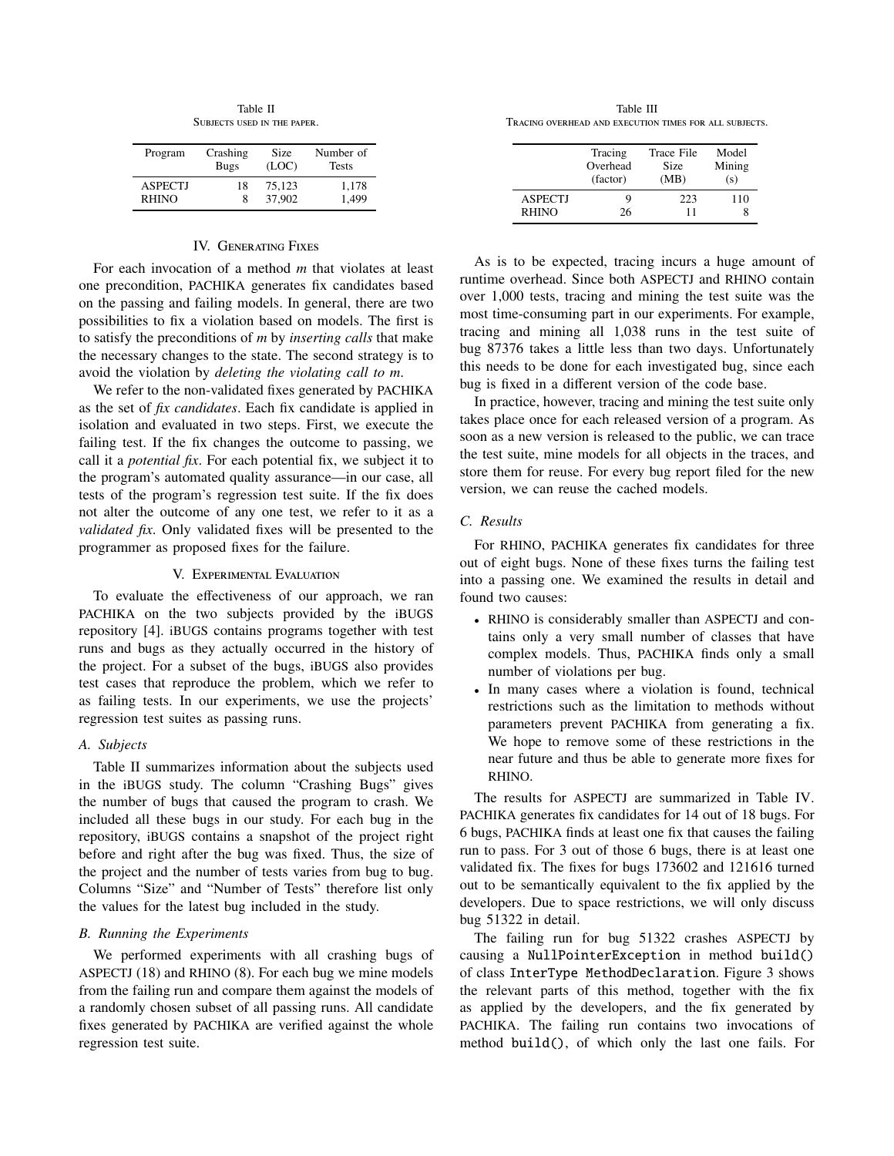Table II SUBJECTS USED IN THE PAPER.

| Program        | Crashing | Size   | Number of    |
|----------------|----------|--------|--------------|
|                | Bugs     | (LOC)  | <b>Tests</b> |
| <b>ASPECTJ</b> | 18       | 75.123 | 1.178        |
| <b>RHINO</b>   | 8        | 37.902 | 1.499        |

## IV. GENERATING FIXES

For each invocation of a method *m* that violates at least one precondition, PACHIKA generates fix candidates based on the passing and failing models. In general, there are two possibilities to fix a violation based on models. The first is to satisfy the preconditions of *m* by *inserting calls* that make the necessary changes to the state. The second strategy is to avoid the violation by *deleting the violating call to m*.

We refer to the non-validated fixes generated by PACHIKA as the set of *fix candidates*. Each fix candidate is applied in isolation and evaluated in two steps. First, we execute the failing test. If the fix changes the outcome to passing, we call it a *potential fix*. For each potential fix, we subject it to the program's automated quality assurance—in our case, all tests of the program's regression test suite. If the fix does not alter the outcome of any one test, we refer to it as a *validated fix*. Only validated fixes will be presented to the programmer as proposed fixes for the failure.

### V. EXPERIMENTAL EVALUATION

To evaluate the effectiveness of our approach, we ran PACHIKA on the two subjects provided by the iBUGS repository [4]. iBUGS contains programs together with test runs and bugs as they actually occurred in the history of the project. For a subset of the bugs, iBUGS also provides test cases that reproduce the problem, which we refer to as failing tests. In our experiments, we use the projects' regression test suites as passing runs.

# *A. Subjects*

Table II summarizes information about the subjects used in the iBUGS study. The column "Crashing Bugs" gives the number of bugs that caused the program to crash. We included all these bugs in our study. For each bug in the repository, iBUGS contains a snapshot of the project right before and right after the bug was fixed. Thus, the size of the project and the number of tests varies from bug to bug. Columns "Size" and "Number of Tests" therefore list only the values for the latest bug included in the study.

# *B. Running the Experiments*

We performed experiments with all crashing bugs of ASPECTJ (18) and RHINO (8). For each bug we mine models from the failing run and compare them against the models of a randomly chosen subset of all passing runs. All candidate fixes generated by PACHIKA are verified against the whole regression test suite.

Table III TRACING OVERHEAD AND EXECUTION TIMES FOR ALL SUBJECTS.

|                | Tracing<br>Overhead<br>(factor) | Trace File<br>Size<br>(MB) | Model<br>Mining<br>(s) |
|----------------|---------------------------------|----------------------------|------------------------|
| <b>ASPECTJ</b> | Q                               | 223                        | 110                    |
| <b>RHINO</b>   | 26                              | 11                         |                        |

As is to be expected, tracing incurs a huge amount of runtime overhead. Since both ASPECTJ and RHINO contain over 1,000 tests, tracing and mining the test suite was the most time-consuming part in our experiments. For example, tracing and mining all 1,038 runs in the test suite of bug 87376 takes a little less than two days. Unfortunately this needs to be done for each investigated bug, since each bug is fixed in a different version of the code base.

In practice, however, tracing and mining the test suite only takes place once for each released version of a program. As soon as a new version is released to the public, we can trace the test suite, mine models for all objects in the traces, and store them for reuse. For every bug report filed for the new version, we can reuse the cached models.

# *C. Results*

For RHINO, PACHIKA generates fix candidates for three out of eight bugs. None of these fixes turns the failing test into a passing one. We examined the results in detail and found two causes:

- RHINO is considerably smaller than ASPECTJ and contains only a very small number of classes that have complex models. Thus, PACHIKA finds only a small number of violations per bug.
- In many cases where a violation is found, technical restrictions such as the limitation to methods without parameters prevent PACHIKA from generating a fix. We hope to remove some of these restrictions in the near future and thus be able to generate more fixes for RHINO.

The results for ASPECTJ are summarized in Table IV. PACHIKA generates fix candidates for 14 out of 18 bugs. For 6 bugs, PACHIKA finds at least one fix that causes the failing run to pass. For 3 out of those 6 bugs, there is at least one validated fix. The fixes for bugs 173602 and 121616 turned out to be semantically equivalent to the fix applied by the developers. Due to space restrictions, we will only discuss bug 51322 in detail.

The failing run for bug 51322 crashes ASPECTJ by causing a NullPointerException in method build() of class InterType MethodDeclaration. Figure 3 shows the relevant parts of this method, together with the fix as applied by the developers, and the fix generated by PACHIKA. The failing run contains two invocations of method build(), of which only the last one fails. For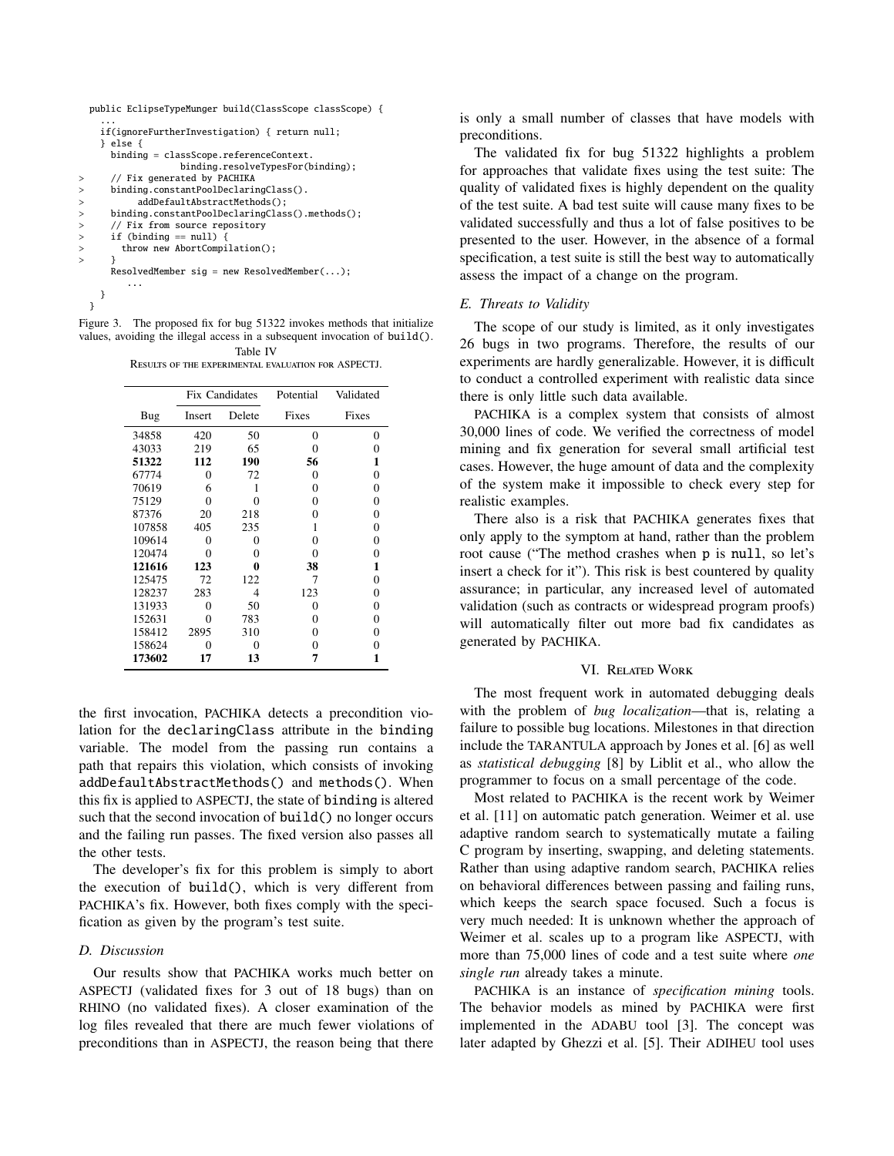```
public EclipseTypeMunger build(ClassScope classScope) {
    ...
   if(ignoreFurtherInvestigation) { return null;
   } else {
     binding = classScope.referenceContext.
                 binding.resolveTypesFor(binding);
> // Fix generated by PACHIKA
> binding.constantPoolDeclaringClass().
> addDefaultAbstractMethods();
> binding.constantPoolDeclaringClass().methods();
> // Fix from source repository
> if (binding == null) {
> throw new AbortCompilation();
> }
     ResolvedMember sig = new ResolvedMember(...);
        ...
   }
 }
```
Figure 3. The proposed fix for bug 51322 invokes methods that initialize values, avoiding the illegal access in a subsequent invocation of build(). Table IV

RESULTS OF THE EXPERIMENTAL EVALUATION FOR ASPECTJ.

|        | Fix Candidates |          | Potential | Validated      |
|--------|----------------|----------|-----------|----------------|
| Bug    | Insert         | Delete   | Fixes     | Fixes          |
| 34858  | 420            | 50       | 0         | 0              |
| 43033  | 219            | 65       | 0         | 0              |
| 51322  | 112            | 190      | 56        | 1              |
| 67774  | $\theta$       | 72       | 0         | 0              |
| 70619  | 6              | 1        | $\theta$  | $\overline{0}$ |
| 75129  | 0              | 0        | 0         | $\overline{0}$ |
| 87376  | 20             | 218      | 0         | $\overline{0}$ |
| 107858 | 405            | 235      | 1         | $\overline{0}$ |
| 109614 | $\theta$       | $\theta$ | $\theta$  | $\overline{0}$ |
| 120474 | 0              | 0        | 0         | $\overline{0}$ |
| 121616 | 123            | 0        | 38        | 1              |
| 125475 | 72             | 122      | 7         | $\overline{0}$ |
| 128237 | 283            | 4        | 123       | 0              |
| 131933 | $\theta$       | 50       | 0         | $\overline{0}$ |
| 152631 | 0              | 783      | 0         | 0              |
| 158412 | 2895           | 310      | 0         | 0              |
| 158624 | 0              | 0        | 0         | 0              |
| 173602 | 17             | 13       | 7         | 1              |

the first invocation, PACHIKA detects a precondition violation for the declaringClass attribute in the binding variable. The model from the passing run contains a path that repairs this violation, which consists of invoking addDefaultAbstractMethods() and methods(). When this fix is applied to ASPECTJ, the state of binding is altered such that the second invocation of build() no longer occurs and the failing run passes. The fixed version also passes all the other tests.

The developer's fix for this problem is simply to abort the execution of build(), which is very different from PACHIKA's fix. However, both fixes comply with the specification as given by the program's test suite.

### *D. Discussion*

Our results show that PACHIKA works much better on ASPECTJ (validated fixes for 3 out of 18 bugs) than on RHINO (no validated fixes). A closer examination of the log files revealed that there are much fewer violations of preconditions than in ASPECTJ, the reason being that there is only a small number of classes that have models with preconditions.

The validated fix for bug 51322 highlights a problem for approaches that validate fixes using the test suite: The quality of validated fixes is highly dependent on the quality of the test suite. A bad test suite will cause many fixes to be validated successfully and thus a lot of false positives to be presented to the user. However, in the absence of a formal specification, a test suite is still the best way to automatically assess the impact of a change on the program.

# *E. Threats to Validity*

The scope of our study is limited, as it only investigates 26 bugs in two programs. Therefore, the results of our experiments are hardly generalizable. However, it is difficult to conduct a controlled experiment with realistic data since there is only little such data available.

PACHIKA is a complex system that consists of almost 30,000 lines of code. We verified the correctness of model mining and fix generation for several small artificial test cases. However, the huge amount of data and the complexity of the system make it impossible to check every step for realistic examples.

There also is a risk that PACHIKA generates fixes that only apply to the symptom at hand, rather than the problem root cause ("The method crashes when p is null, so let's insert a check for it"). This risk is best countered by quality assurance; in particular, any increased level of automated validation (such as contracts or widespread program proofs) will automatically filter out more bad fix candidates as generated by PACHIKA.

#### VI. RELATED WORK

The most frequent work in automated debugging deals with the problem of *bug localization*—that is, relating a failure to possible bug locations. Milestones in that direction include the TARANTULA approach by Jones et al. [6] as well as *statistical debugging* [8] by Liblit et al., who allow the programmer to focus on a small percentage of the code.

Most related to PACHIKA is the recent work by Weimer et al. [11] on automatic patch generation. Weimer et al. use adaptive random search to systematically mutate a failing C program by inserting, swapping, and deleting statements. Rather than using adaptive random search, PACHIKA relies on behavioral differences between passing and failing runs, which keeps the search space focused. Such a focus is very much needed: It is unknown whether the approach of Weimer et al. scales up to a program like ASPECTJ, with more than 75,000 lines of code and a test suite where *one single run* already takes a minute.

PACHIKA is an instance of *specification mining* tools. The behavior models as mined by PACHIKA were first implemented in the ADABU tool [3]. The concept was later adapted by Ghezzi et al. [5]. Their ADIHEU tool uses